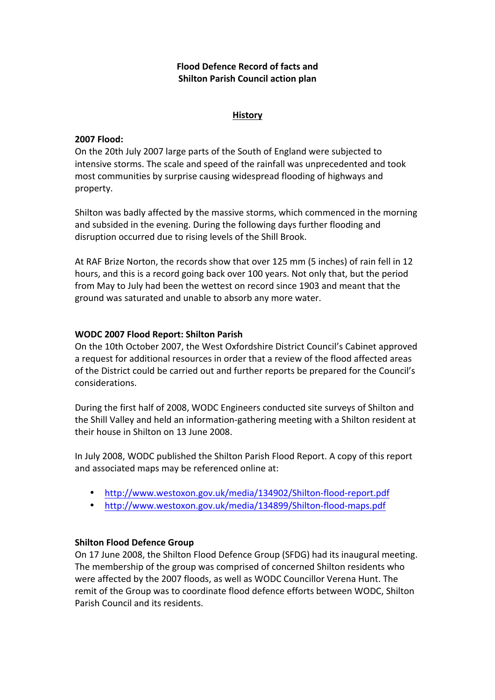# **Flood Defence Record of facts and Shilton Parish Council action plan**

# **History**

## **2007 Flood:**

On the 20th July 2007 large parts of the South of England were subjected to intensive storms. The scale and speed of the rainfall was unprecedented and took most communities by surprise causing widespread flooding of highways and property.

Shilton was badly affected by the massive storms, which commenced in the morning and subsided in the evening. During the following days further flooding and disruption occurred due to rising levels of the Shill Brook.

At RAF Brize Norton, the records show that over 125 mm (5 inches) of rain fell in 12 hours, and this is a record going back over 100 years. Not only that, but the period from May to July had been the wettest on record since 1903 and meant that the ground was saturated and unable to absorb any more water.

# **WODC 2007 Flood Report: Shilton Parish**

On the 10th October 2007, the West Oxfordshire District Council's Cabinet approved a request for additional resources in order that a review of the flood affected areas of the District could be carried out and further reports be prepared for the Council's considerations.

During the first half of 2008, WODC Engineers conducted site surveys of Shilton and the Shill Valley and held an information-gathering meeting with a Shilton resident at their house in Shilton on 13 June 2008.

In July 2008, WODC published the Shilton Parish Flood Report. A copy of this report and associated maps may be referenced online at:

- http://www.westoxon.gov.uk/media/134902/Shilton-flood-report.pdf
- http://www.westoxon.gov.uk/media/134899/Shilton-flood-maps.pdf

## **Shilton Flood Defence Group**

On 17 June 2008, the Shilton Flood Defence Group (SFDG) had its inaugural meeting. The membership of the group was comprised of concerned Shilton residents who were affected by the 2007 floods, as well as WODC Councillor Verena Hunt. The remit of the Group was to coordinate flood defence efforts between WODC, Shilton Parish Council and its residents.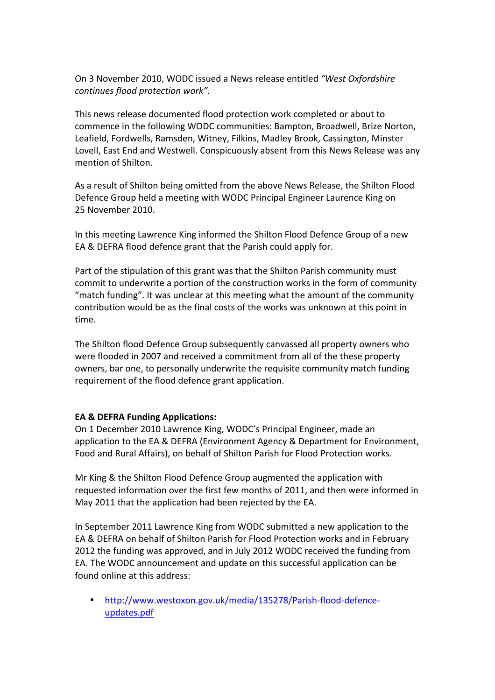On 3 November 2010, WODC issued a News release entitled "West Oxfordshire *continues flood protection work"*. 

This news release documented flood protection work completed or about to commence in the following WODC communities: Bampton, Broadwell, Brize Norton, Leafield, Fordwells, Ramsden, Witney, Filkins, Madley Brook, Cassington, Minster Lovell, East End and Westwell. Conspicuously absent from this News Release was any mention of Shilton.

As a result of Shilton being omitted from the above News Release, the Shilton Flood Defence Group held a meeting with WODC Principal Engineer Laurence King on 25 November 2010.

In this meeting Lawrence King informed the Shilton Flood Defence Group of a new EA & DEFRA flood defence grant that the Parish could apply for.

Part of the stipulation of this grant was that the Shilton Parish community must commit to underwrite a portion of the construction works in the form of community "match funding". It was unclear at this meeting what the amount of the community contribution would be as the final costs of the works was unknown at this point in time.

The Shilton flood Defence Group subsequently canvassed all property owners who were flooded in 2007 and received a commitment from all of the these property owners, bar one, to personally underwrite the requisite community match funding requirement of the flood defence grant application.

# **EA & DEFRA Funding Applications:**

On 1 December 2010 Lawrence King, WODC's Principal Engineer, made an application to the EA & DEFRA (Environment Agency & Department for Environment, Food and Rural Affairs), on behalf of Shilton Parish for Flood Protection works.

Mr King & the Shilton Flood Defence Group augmented the application with requested information over the first few months of 2011, and then were informed in May 2011 that the application had been rejected by the EA.

In September 2011 Lawrence King from WODC submitted a new application to the EA & DEFRA on behalf of Shilton Parish for Flood Protection works and in February 2012 the funding was approved, and in July 2012 WODC received the funding from EA. The WODC announcement and update on this successful application can be found online at this address:

• http://www.westoxon.gov.uk/media/135278/Parish-flood-defenceupdates.pdf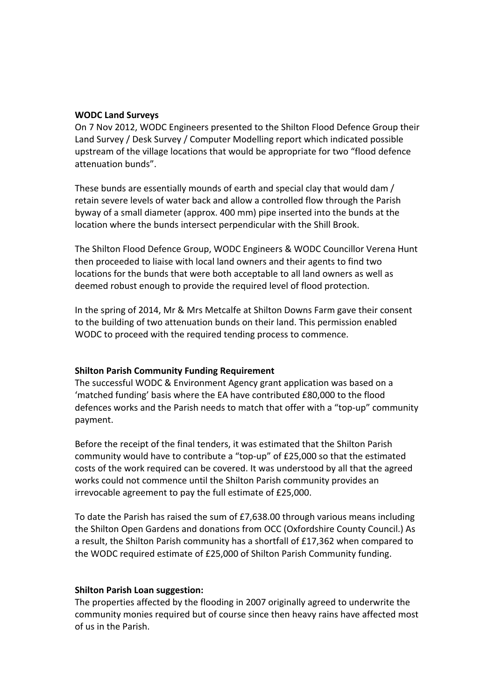#### **WODC Land Surveys**

On 7 Nov 2012, WODC Engineers presented to the Shilton Flood Defence Group their Land Survey / Desk Survey / Computer Modelling report which indicated possible upstream of the village locations that would be appropriate for two "flood defence attenuation bunds".

These bunds are essentially mounds of earth and special clay that would dam / retain severe levels of water back and allow a controlled flow through the Parish byway of a small diameter (approx. 400 mm) pipe inserted into the bunds at the location where the bunds intersect perpendicular with the Shill Brook.

The Shilton Flood Defence Group, WODC Engineers & WODC Councillor Verena Hunt then proceeded to liaise with local land owners and their agents to find two locations for the bunds that were both acceptable to all land owners as well as deemed robust enough to provide the required level of flood protection.

In the spring of 2014, Mr & Mrs Metcalfe at Shilton Downs Farm gave their consent to the building of two attenuation bunds on their land. This permission enabled WODC to proceed with the required tending process to commence.

#### **Shilton Parish Community Funding Requirement**

The successful WODC & Environment Agency grant application was based on a 'matched funding' basis where the EA have contributed £80,000 to the flood defences works and the Parish needs to match that offer with a "top-up" community payment. 

Before the receipt of the final tenders, it was estimated that the Shilton Parish community would have to contribute a "top-up" of £25,000 so that the estimated costs of the work required can be covered. It was understood by all that the agreed works could not commence until the Shilton Parish community provides an irrevocable agreement to pay the full estimate of £25,000.

To date the Parish has raised the sum of  $E7,638.00$  through various means including the Shilton Open Gardens and donations from OCC (Oxfordshire County Council.) As a result, the Shilton Parish community has a shortfall of  $£17,362$  when compared to the WODC required estimate of £25,000 of Shilton Parish Community funding.

#### **Shilton Parish Loan suggestion:**

The properties affected by the flooding in 2007 originally agreed to underwrite the community monies required but of course since then heavy rains have affected most of us in the Parish.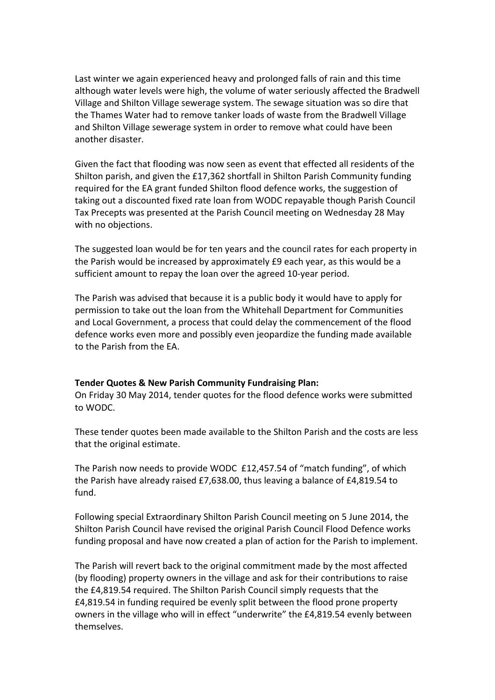Last winter we again experienced heavy and prolonged falls of rain and this time although water levels were high, the volume of water seriously affected the Bradwell Village and Shilton Village sewerage system. The sewage situation was so dire that the Thames Water had to remove tanker loads of waste from the Bradwell Village and Shilton Village sewerage system in order to remove what could have been another disaster.

Given the fact that flooding was now seen as event that effected all residents of the Shilton parish, and given the £17,362 shortfall in Shilton Parish Community funding required for the EA grant funded Shilton flood defence works, the suggestion of taking out a discounted fixed rate loan from WODC repayable though Parish Council Tax Precepts was presented at the Parish Council meeting on Wednesday 28 May with no objections.

The suggested loan would be for ten years and the council rates for each property in the Parish would be increased by approximately £9 each year, as this would be a sufficient amount to repay the loan over the agreed 10-year period.

The Parish was advised that because it is a public body it would have to apply for permission to take out the loan from the Whitehall Department for Communities and Local Government, a process that could delay the commencement of the flood defence works even more and possibly even jeopardize the funding made available to the Parish from the FA.

## **Tender Quotes & New Parish Community Fundraising Plan:**

On Friday 30 May 2014, tender quotes for the flood defence works were submitted to WODC. 

These tender quotes been made available to the Shilton Parish and the costs are less that the original estimate.

The Parish now needs to provide WODC £12,457.54 of "match funding", of which the Parish have already raised £7,638.00, thus leaving a balance of  $£4,819.54$  to fund.

Following special Extraordinary Shilton Parish Council meeting on 5 June 2014, the Shilton Parish Council have revised the original Parish Council Flood Defence works funding proposal and have now created a plan of action for the Parish to implement.

The Parish will revert back to the original commitment made by the most affected (by flooding) property owners in the village and ask for their contributions to raise the £4,819.54 required. The Shilton Parish Council simply requests that the £4,819.54 in funding required be evenly split between the flood prone property owners in the village who will in effect "underwrite" the £4,819.54 evenly between themselves.